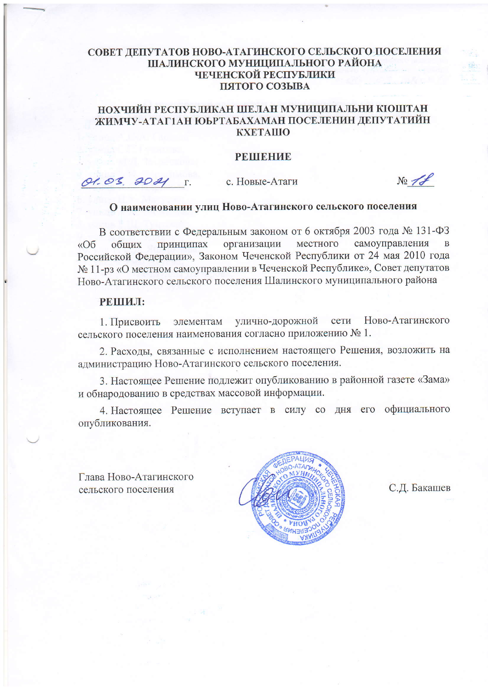### СОВЕТ ДЕПУТАТОВ НОВО-АТАГИНСКОГО СЕЛЬСКОГО ПОСЕЛЕНИЯ ШАЛИНСКОГО МУНИЦИПАЛЬНОГО РАЙОНА ЧЕЧЕНСКОЙ РЕСПУБЛИКИ ПЯТОГО СОЗЫВА

## НОХЧИЙН РЕСПУБЛИКАН ШЕЛАН МУНИЦИПАЛЬНИ КІОШТАН ЖИМЧУ-АТАГ1АН ЮЬРТАБАХАМАН ПОСЕЛЕНИН ДЕПУТАТИЙН **KXETAIIIO**

#### **PEIHBHZIE**

O1.03. 2021 T.

с. Новые-Атаги

 $N_2\not\equiv$ 

# О наименовании улиц Ново-Атагинского сельского поселения

В соответствии с Федеральным законом от 6 октября 2003 года № 131-ФЗ организации местного самоуправления принципах  $\overline{B}$ общих  $\triangleleft$ Oб Российской Федерации», Законом Чеченской Республики от 24 мая 2010 года № 11-рз «О местном самоуправлении в Чеченской Республике», Совет депутатов Ново-Атагинского сельского поселения Шалинского муниципального района

### РЕШИЛ:

Ново-Атагинского элементам улично-дорожной сети 1. Присвоить сельского поселения наименования согласно приложению № 1.

2. Расходы, связанные с исполнением настоящего Решения, возложить на администрацию Ново-Атагинского сельского поселения.

3. Настоящее Решение подлежит опубликованию в районной газете «Зама» и обнародованию в средствах массовой информации.

4. Настоящее Решение вступает в силу со дня его официального опубликования.

Глава Ново-Атагинского сельского поселения



С.Д. Бакашев